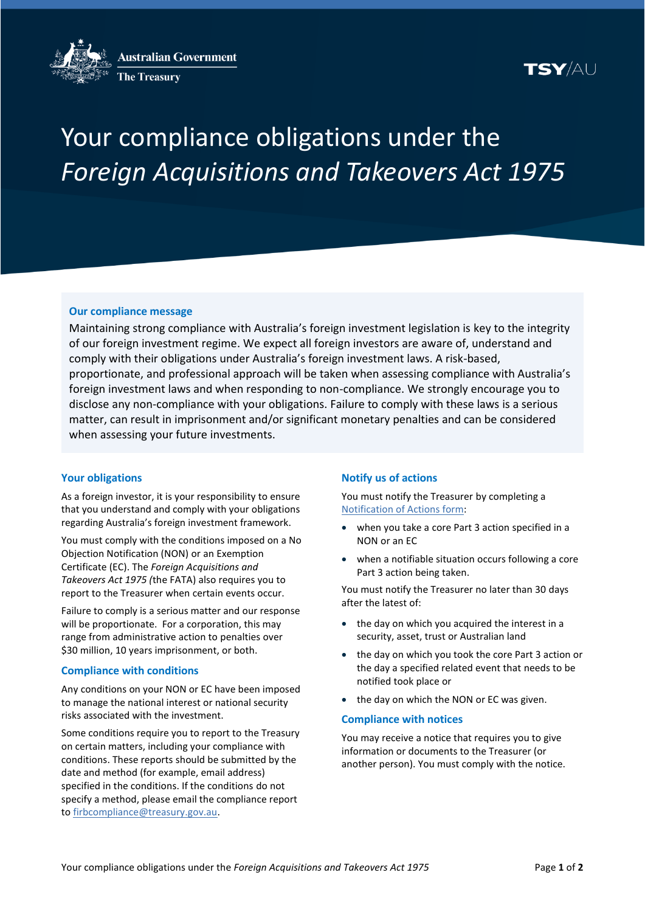**Australian Government** 



**The Treasury** 

# SY/AU

# Your compliance obligations under the *Foreign Acquisitions and Takeovers Act 1975*

## **Our compliance message**

Maintaining strong compliance with Australia's foreign investment legislation is key to the integrity of our foreign investment regime. We expect all foreign investors are aware of, understand and comply with their obligations under Australia's foreign investment laws. A risk-based, proportionate, and professional approach will be taken when assessing compliance with Australia's foreign investment laws and when responding to non-compliance. We strongly encourage you to disclose any non-compliance with your obligations. Failure to comply with these laws is a serious matter, can result in imprisonment and/or significant monetary penalties and can be considered when assessing your future investments.

## **Your obligations**

As a foreign investor, it is your responsibility to ensure that you understand and comply with your obligations regarding Australia's foreign investment framework.

You must comply with the conditions imposed on a No Objection Notification (NON) or an Exemption Certificate (EC). The *Foreign Acquisitions and Takeovers Act 1975 (*the FATA) also requires you to report to the Treasurer when certain events occur.

Failure to comply is a serious matter and our response will be proportionate. For a corporation, this may range from administrative action to penalties over \$30 million, 10 years imprisonment, or both.

## **Compliance with conditions**

Any conditions on your NON or EC have been imposed to manage the national interest or national security risks associated with the investment.

Some conditions require you to report to the Treasury on certain matters, including your compliance with conditions. These reports should be submitted by the date and method (for example, email address) specified in the conditions. If the conditions do not specify a method, please email the compliance report t[o firbcompliance@treasury.gov.au.](mailto:firbcompliance@treasury.gov.au)

## **Notify us of actions**

You must notify the Treasurer by completing a [Notification of Actions form:](https://firb.gov.au/compliance-reporting/notification-actions-form)

- when you take [a core Part 3 action](https://firb.gov.au/compliance-reporting/investor-reporting-requirements#collapseOne) specified in a NON or an EC
- when [a notifiable situation](https://firb.gov.au/compliance-reporting/investor-reporting-requirements#collapseOne) occurs following a core Part 3 action being taken.

You must notify the Treasurer no later than 30 days after the latest of:

- the day on which you acquired the interest in a security, asset, trust or Australian land
- the day on which you took the core Part 3 action or the day a specified related event that needs to be notified took place or
- the day on which the NON or EC was given.

#### **Compliance with notices**

You may receive a notice that requires you to give information or documents to the Treasurer (or another person). You must comply with the notice.